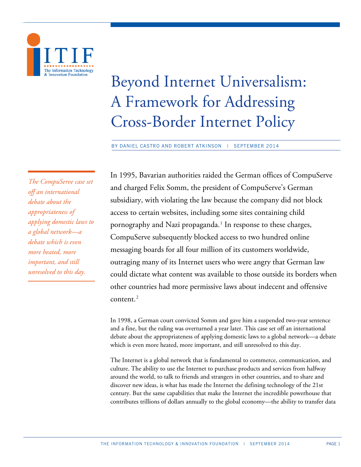

# Beyond Internet Universalism: A Framework for Addressing Cross-Border Internet Policy

BY DANIEL CASTRO AND ROBERT ATKINSON | SEPTEMBER 2014

*The CompuServe case set off an international debate about the appropriateness of applying domestic laws to a global network—a debate which is even more heated, more important, and still unresolved to this day.*

In 1995, Bavarian authorities raided the German offices of CompuServe and charged Felix Somm, the president of CompuServe's German subsidiary, with violating the law because the company did not block access to certain websites, including some sites containing child pornography and Nazi propaganda.<sup>1</sup> In response to these charges, CompuServe subsequently blocked access to two hundred online messaging boards for all four million of its customers worldwide, outraging many of its Internet users who were angry that German law could dictate what content was available to those outside its borders when other countries had more permissive laws about indecent and offensive content. $^{2}$  $^{2}$  $^{2}$ 

In 1998, a German court convicted Somm and gave him a suspended two-year sentence and a fine, but the ruling was overturned a year later. This case set off an international debate about the appropriateness of applying domestic laws to a global network—a debate which is even more heated, more important, and still unresolved to this day.

The Internet is a global network that is fundamental to commerce, communication, and culture. The ability to use the Internet to purchase products and services from halfway around the world, to talk to friends and strangers in other countries, and to share and discover new ideas, is what has made the Internet the defining technology of the 21st century. But the same capabilities that make the Internet the incredible powerhouse that contributes trillions of dollars annually to the global economy—the ability to transfer data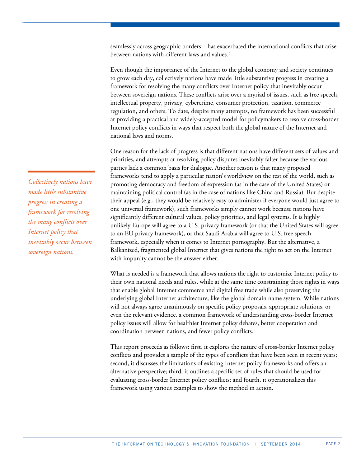seamlessly across geographic borders—has exacerbated the international conflicts that arise between nations with different laws and values.<sup>[3](#page-19-0)</sup>

Even though the importance of the Internet to the global economy and society continues to grow each day, collectively nations have made little substantive progress in creating a framework for resolving the many conflicts over Internet policy that inevitably occur between sovereign nations. These conflicts arise over a myriad of issues, such as free speech, intellectual property, privacy, cybercrime, consumer protection, taxation, commerce regulation, and others. To date, despite many attempts, no framework has been successful at providing a practical and widely-accepted model for policymakers to resolve cross-border Internet policy conflicts in ways that respect both the global nature of the Internet and national laws and norms.

One reason for the lack of progress is that different nations have different sets of values and priorities, and attempts at resolving policy disputes inevitably falter because the various parties lack a common basis for dialogue. Another reason is that many proposed frameworks tend to apply a particular nation's worldview on the rest of the world, such as promoting democracy and freedom of expression (as in the case of the United States) or maintaining political control (as in the case of nations like China and Russia). But despite their appeal (e.g., they would be relatively easy to administer if everyone would just agree to one universal framework), such frameworks simply cannot work because nations have significantly different cultural values, policy priorities, and legal systems. It is highly unlikely Europe will agree to a U.S. privacy framework (or that the United States will agree to an EU privacy framework), or that Saudi Arabia will agree to U.S. free speech framework, especially when it comes to Internet pornography. But the alternative, a Balkanized, fragmented global Internet that gives nations the right to act on the Internet with impunity cannot be the answer either.

What is needed is a framework that allows nations the right to customize Internet policy to their own national needs and rules, while at the same time constraining those rights in ways that enable global Internet commerce and digital free trade while also preserving the underlying global Internet architecture, like the global domain name system. While nations will not always agree unanimously on specific policy proposals, appropriate solutions, or even the relevant evidence, a common framework of understanding cross-border Internet policy issues will allow for healthier Internet policy debates, better cooperation and coordination between nations, and fewer policy conflicts.

This report proceeds as follows: first, it explores the nature of cross-border Internet policy conflicts and provides a sample of the types of conflicts that have been seen in recent years; second, it discusses the limitations of existing Internet policy frameworks and offers an alternative perspective; third, it outlines a specific set of rules that should be used for evaluating cross-border Internet policy conflicts; and fourth, it operationalizes this framework using various examples to show the method in action.

*Collectively nations have made little substantive progress in creating a framework for resolving the many conflicts over Internet policy that inevitably occur between sovereign nations.*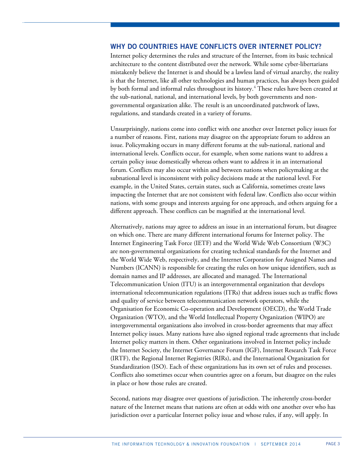## **WHY DO COUNTRIES HAVE CONFLICTS OVER INTERNET POLICY?**

Internet policy determines the rules and structure of the Internet, from its basic technical architecture to the content distributed over the network. While some cyber-libertarians mistakenly believe the Internet is and should be a lawless land of virtual anarchy, the reality is that the Internet, like all other technologies and human practices, has always been guided by both formal and informal rules throughout its history.[4](#page-19-1) These rules have been created at the sub-national, national, and international levels, by both governments and nongovernmental organization alike. The result is an uncoordinated patchwork of laws, regulations, and standards created in a variety of forums.

Unsurprisingly, nations come into conflict with one another over Internet policy issues for a number of reasons. First, nations may disagree on the appropriate forum to address an issue. Policymaking occurs in many different forums at the sub-national, national and international levels. Conflicts occur, for example, when some nations want to address a certain policy issue domestically whereas others want to address it in an international forum. Conflicts may also occur within and between nations when policymaking at the subnational level is inconsistent with policy decisions made at the national level. For example, in the United States, certain states, such as California, sometimes create laws impacting the Internet that are not consistent with federal law. Conflicts also occur within nations, with some groups and interests arguing for one approach, and others arguing for a different approach. These conflicts can be magnified at the international level.

Alternatively, nations may agree to address an issue in an international forum, but disagree on which one. There are many different international forums for Internet policy. The Internet Engineering Task Force (IETF) and the World Wide Web Consortium (W3C) are non-governmental organizations for creating technical standards for the Internet and the World Wide Web, respectively, and the Internet Corporation for Assigned Names and Numbers (ICANN) is responsible for creating the rules on how unique identifiers, such as domain names and IP addresses, are allocated and managed. The International Telecommunication Union (ITU) is an intergovernmental organization that develops international telecommunication regulations (ITRs) that address issues such as traffic flows and quality of service between telecommunication network operators, while the Organisation for Economic Co-operation and Development (OECD), the World Trade Organization (WTO), and the World Intellectual Property Organization (WIPO) are intergovernmental organizations also involved in cross-border agreements that may affect Internet policy issues. Many nations have also signed regional trade agreements that include Internet policy matters in them. Other organizations involved in Internet policy include the Internet Society, the Internet Governance Forum (IGF), Internet Research Task Force (IRTF), the Regional Internet Registries (RIRs), and the International Organization for Standardization (ISO). Each of these organizations has its own set of rules and processes. Conflicts also sometimes occur when countries agree on a forum, but disagree on the rules in place or how those rules are created.

Second, nations may disagree over questions of jurisdiction. The inherently cross-border nature of the Internet means that nations are often at odds with one another over who has jurisdiction over a particular Internet policy issue and whose rules, if any, will apply. In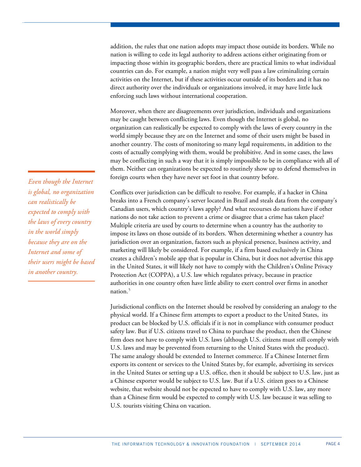addition, the rules that one nation adopts may impact those outside its borders. While no nation is willing to cede its legal authority to address actions either originating from or impacting those within its geographic borders, there are practical limits to what individual countries can do. For example, a nation might very well pass a law criminalizing certain activities on the Internet, but if these activities occur outside of its borders and it has no direct authority over the individuals or organizations involved, it may have little luck enforcing such laws without international cooperation.

Moreover, when there are disagreements over jurisdiction, individuals and organizations may be caught between conflicting laws. Even though the Internet is global, no organization can realistically be expected to comply with the laws of every country in the world simply because they are on the Internet and some of their users might be based in another country. The costs of monitoring so many legal requirements, in addition to the costs of actually complying with them, would be prohibitive. And in some cases, the laws may be conflicting in such a way that it is simply impossible to be in compliance with all of them. Neither can organizations be expected to routinely show up to defend themselves in foreign courts when they have never set foot in that country before.

Conflicts over jurisdiction can be difficult to resolve. For example, if a hacker in China breaks into a French company's server located in Brazil and steals data from the company's Canadian users, which country's laws apply? And what recourses do nations have if other nations do not take action to prevent a crime or disagree that a crime has taken place? Multiple criteria are used by courts to determine when a country has the authority to impose its laws on those outside of its borders. When determining whether a country has jurisdiction over an organization, factors such as physical presence, business activity, and marketing will likely be considered. For example, if a firm based exclusively in China creates a children's mobile app that is popular in China, but it does not advertise this app in the United States, it will likely not have to comply with the Children's Online Privacy Protection Act (COPPA), a U.S. law which regulates privacy, because in practice authorities in one country often have little ability to exert control over firms in another nation.[5](#page-19-2)

Jurisdictional conflicts on the Internet should be resolved by considering an analogy to the physical world. If a Chinese firm attempts to export a product to the United States, its product can be blocked by U.S. officials if it is not in compliance with consumer product safety law. But if U.S. citizens travel to China to purchase the product, then the Chinese firm does not have to comply with U.S. laws (although U.S. citizens must still comply with U.S. laws and may be prevented from returning to the United States with the product). The same analogy should be extended to Internet commerce. If a Chinese Internet firm exports its content or services to the United States by, for example, advertising its services in the United States or setting up a U.S. office, then it should be subject to U.S. law, just as a Chinese exporter would be subject to U.S. law. But if a U.S. citizen goes to a Chinese website, that website should not be expected to have to comply with U.S. law, any more than a Chinese firm would be expected to comply with U.S. law because it was selling to U.S. tourists visiting China on vacation.

*Even though the Internet is global, no organization can realistically be expected to comply with the laws of every country in the world simply because they are on the Internet and some of their users might be based in another country.*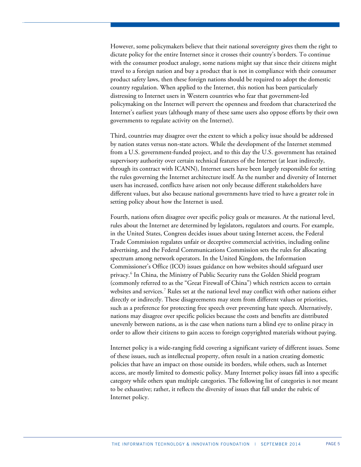However, some policymakers believe that their national sovereignty gives them the right to dictate policy for the entire Internet since it crosses their country's borders. To continue with the consumer product analogy, some nations might say that since their citizens might travel to a foreign nation and buy a product that is not in compliance with their consumer product safety laws, then these foreign nations should be required to adopt the domestic country regulation. When applied to the Internet, this notion has been particularly distressing to Internet users in Western countries who fear that government-led policymaking on the Internet will pervert the openness and freedom that characterized the Internet's earliest years (although many of these same users also oppose efforts by their own governments to regulate activity on the Internet).

Third, countries may disagree over the extent to which a policy issue should be addressed by nation states versus non-state actors. While the development of the Internet stemmed from a U.S. government-funded project, and to this day the U.S. government has retained supervisory authority over certain technical features of the Internet (at least indirectly, through its contract with ICANN), Internet users have been largely responsible for setting the rules governing the Internet architecture itself. As the number and diversity of Internet users has increased, conflicts have arisen not only because different stakeholders have different values, but also because national governments have tried to have a greater role in setting policy about how the Internet is used.

Fourth, nations often disagree over specific policy goals or measures. At the national level, rules about the Internet are determined by legislators, regulators and courts. For example, in the United States, Congress decides issues about taxing Internet access, the Federal Trade Commission regulates unfair or deceptive commercial activities, including online advertising, and the Federal Communications Commission sets the rules for allocating spectrum among network operators. In the United Kingdom, the Information Commissioner's Office (ICO) issues guidance on how websites should safeguard user privacy.[6](#page-20-0) In China, the Ministry of Public Security runs the Golden Shield program (commonly referred to as the "Great Firewall of China") which restricts access to certain websites and services.[7](#page-20-1) Rules set at the national level may conflict with other nations either directly or indirectly. These disagreements may stem from different values or priorities, such as a preference for protecting free speech over preventing hate speech. Alternatively, nations may disagree over specific policies because the costs and benefits are distributed unevenly between nations, as is the case when nations turn a blind eye to online piracy in order to allow their citizens to gain access to foreign copyrighted materials without paying.

Internet policy is a wide-ranging field covering a significant variety of different issues. Some of these issues, such as intellectual property, often result in a nation creating domestic policies that have an impact on those outside its borders, while others, such as Internet access, are mostly limited to domestic policy. Many Internet policy issues fall into a specific category while others span multiple categories. The following list of categories is not meant to be exhaustive; rather, it reflects the diversity of issues that fall under the rubric of Internet policy.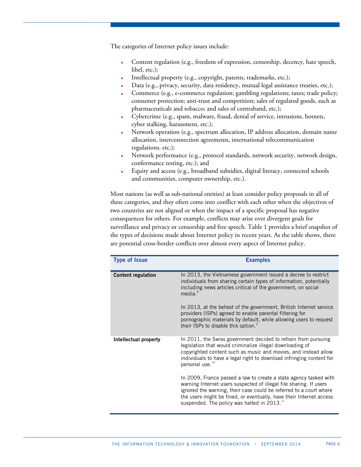The categories of Internet policy issues include:

- Content regulation (e.g., freedom of expression, censorship, decency, hate speech, libel, etc.);
- Intellectual property (e.g., copyright, patents, trademarks, etc.);
- Data (e.g., privacy, security, data residency, mutual legal assistance treaties, etc.);
- Commerce (e.g., e-commerce regulation; gambling regulations; taxes; trade policy; consumer protection; anti-trust and competition; sales of regulated goods, such as pharmaceuticals and tobacco; and sales of contraband, etc.);
- Cybercrime (e.g., spam, malware, fraud, denial of service, intrusions, botnets, cyber stalking, harassment, etc.);
- Network operation (e.g., spectrum allocation, IP address allocation, domain name allocation, interconnection agreements, international telecommunication regulations, etc.);
- Network performance (e.g., protocol standards, network security, network design, conformance testing, etc.); and
- Equity and access (e.g., broadband subsidies, digital literacy, connected schools and communities, computer ownership, etc.).

Most nations (as well as sub-national entities) at least consider policy proposals in all of these categories, and they often come into conflict with each other when the objectives of two countries are not aligned or when the impact of a specific proposal has negative consequences for others. For example, conflicts may arise over divergent goals for surveillance and privacy or censorship and free speech. Table 1 provides a brief snapshot of the types of decisions made about Internet policy in recent years. As the table shows, there are potential cross-border conflicts over almost every aspect of Internet policy.

| <b>Type of Issue</b>      | <b>Examples</b>                                                                                                                                                                                                                                                                                                                       |
|---------------------------|---------------------------------------------------------------------------------------------------------------------------------------------------------------------------------------------------------------------------------------------------------------------------------------------------------------------------------------|
| <b>Content regulation</b> | In 2013, the Vietnamese government issued a decree to restrict<br>individuals from sharing certain types of information, potentially<br>including news articles critical of the government, on social<br>media. <sup>8</sup>                                                                                                          |
|                           | In 2013, at the behest of the government, British Internet service<br>providers (ISPs) agreed to enable parental filtering for<br>pornographic materials by default, while allowing users to request<br>their ISPs to disable this option. <sup>9</sup>                                                                               |
| Intellectual property     | In 2011, the Swiss government decided to refrain from pursuing<br>legislation that would criminalize illegal downloading of<br>copyrighted content such as music and movies, and instead allow<br>individuals to have a legal right to download infringing content for<br>personal use. <sup>10</sup>                                 |
|                           | In 2009, France passed a law to create a state agency tasked with<br>warning Internet users suspected of illegal file sharing. If users<br>ignored the warning, their case could be referred to a court where<br>the users might be fined, or eventually, have their Internet access<br>suspended. The policy was halted in $2013.11$ |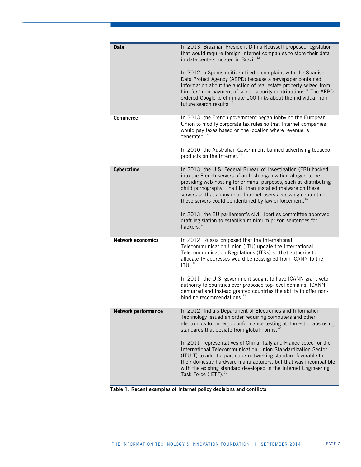| Data                     | In 2013, Brazilian President Dilma Rousseff proposed legislation<br>that would require foreign Internet companies to store their data<br>in data centers located in Brazil. <sup>12</sup><br>In 2012, a Spanish citizen filed a complaint with the Spanish<br>Data Protect Agency (AEPD) because a newspaper contained<br>information about the auction of real estate property seized from<br>him for "non-payment of social security contributions." The AEPD<br>ordered Google to eliminate 100 links about the individual from<br>future search results. <sup>13</sup>                                                                |
|--------------------------|-------------------------------------------------------------------------------------------------------------------------------------------------------------------------------------------------------------------------------------------------------------------------------------------------------------------------------------------------------------------------------------------------------------------------------------------------------------------------------------------------------------------------------------------------------------------------------------------------------------------------------------------|
| Commerce                 | In 2013, the French government began lobbying the European<br>Union to modify corporate tax rules so that Internet companies<br>would pay taxes based on the location where revenue is<br>generated. <sup>14</sup><br>In 2010, the Australian Government banned advertising tobacco<br>products on the Internet. <sup>15</sup>                                                                                                                                                                                                                                                                                                            |
| Cybercrime               | In 2013, the U.S. Federal Bureau of Investigation (FBI) hacked<br>into the French servers of an Irish organization alleged to be<br>providing web hosting for criminal purposes, such as distributing<br>child pornography. The FBI then installed malware on these<br>servers so that anonymous Internet users accessing content on<br>these servers could be identified by law enforcement. <sup>16</sup><br>In 2013, the EU parliament's civil liberties committee approved<br>draft legislation to establish minimum prison sentences for<br>hackers. $^{17}$                                                                         |
| <b>Network economics</b> | In 2012, Russia proposed that the International<br>Telecommunication Union (ITU) update the International<br>Telecommunication Regulations (ITRs) so that authority to<br>allocate IP addresses would be reassigned from ICANN to the<br>$ITU.$ <sup>18</sup><br>In 2011, the U.S. government sought to have ICANN grant veto<br>authority to countries over proposed top-level domains. ICANN<br>demurred and instead granted countries the ability to offer non-<br>binding recommendations. <sup>19</sup>                                                                                                                              |
| Network performance      | In 2012, India's Department of Electronics and Information<br>Technology issued an order requiring computers and other<br>electronics to undergo conformance testing at domestic labs using<br>standards that deviate from global norms. <sup>20</sup><br>In 2011, representatives of China, Italy and France voted for the<br>International Telecommunication Union Standardization Sector<br>(ITU-T) to adopt a particular networking standard favorable to<br>their domestic hardware manufacturers, but that was incompatible<br>with the existing standard developed in the Internet Engineering<br>Task Force (IETF). <sup>21</sup> |

## **Table** 1**: Recent examples of Internet policy decisions and conflicts**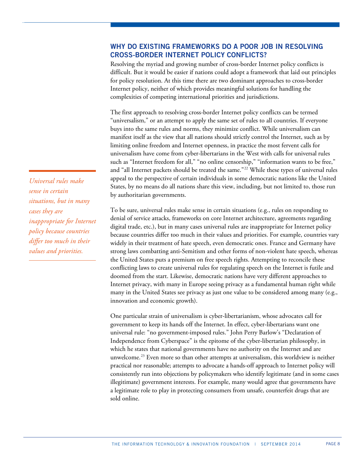## **WHY DO EXISTING FRAMEWORKS DO A POOR JOB IN RESOLVING CROSS-BORDER INTERNET POLICY CONFLICTS?**

Resolving the myriad and growing number of cross-border Internet policy conflicts is difficult. But it would be easier if nations could adopt a framework that laid out principles for policy resolution. At this time there are two dominant approaches to cross-border Internet policy, neither of which provides meaningful solutions for handling the complexities of competing international priorities and jurisdictions.

The first approach to resolving cross-border Internet policy conflicts can be termed "universalism," or an attempt to apply the same set of rules to all countries. If everyone buys into the same rules and norms, they minimize conflict. While universalism can manifest itself as the view that all nations should strictly control the Internet, such as by limiting online freedom and Internet openness, in practice the most fervent calls for universalism have come from cyber-libertarians in the West with calls for universal rules such as "Internet freedom for all," "no online censorship," "information wants to be free," and "all Internet packets should be treated the same."[22](#page-21-10) While these types of universal rules appeal to the perspective of certain individuals in some democratic nations like the United States, by no means do all nations share this view, including, but not limited to, those run by authoritarian governments.

To be sure, universal rules make sense in certain situations (e.g., rules on responding to denial of service attacks, frameworks on core Internet architecture, agreements regarding digital trade, etc.), but in many cases universal rules are inappropriate for Internet policy because countries differ too much in their values and priorities. For example, countries vary widely in their treatment of hate speech, even democratic ones. France and Germany have strong laws combatting anti-Semitism and other forms of non-violent hate speech, whereas the United States puts a premium on free speech rights. Attempting to reconcile these conflicting laws to create universal rules for regulating speech on the Internet is futile and doomed from the start. Likewise, democratic nations have very different approaches to Internet privacy, with many in Europe seeing privacy as a fundamental human right while many in the United States see privacy as just one value to be considered among many (e.g., innovation and economic growth).

One particular strain of universalism is cyber-libertarianism, whose advocates call for government to keep its hands off the Internet. In effect, cyber-libertarians want one universal rule: "no government-imposed rules." John Perry Barlow's "Declaration of Independence from Cyberspace" is the epitome of the cyber-libertarian philosophy, in which he states that national governments have no authority on the Internet and are unwelcome.<sup>[23](#page-21-11)</sup> Even more so than other attempts at universalism, this worldview is neither practical nor reasonable; attempts to advocate a hands-off approach to Internet policy will consistently run into objections by policymakers who identify legitimate (and in some cases illegitimate) government interests. For example, many would agree that governments have a legitimate role to play in protecting consumers from unsafe, counterfeit drugs that are sold online.

*Universal rules make sense in certain situations, but in many cases they are inappropriate for Internet policy because countries differ too much in their values and priorities.*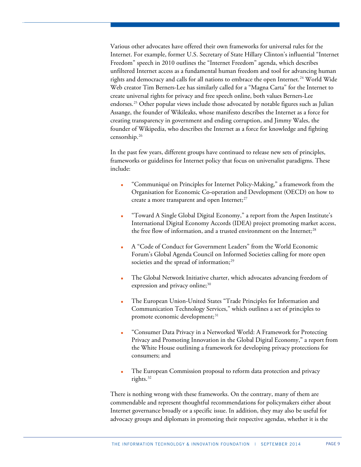Various other advocates have offered their own frameworks for universal rules for the Internet. For example, former U.S. Secretary of State Hillary Clinton's influential "Internet Freedom" speech in 2010 outlines the "Internet Freedom" agenda, which describes unfiltered Internet access as a fundamental human freedom and tool for advancing human rights and democracy and calls for all nations to embrace the open Internet.<sup>[24](#page-21-12)</sup> World Wide Web creator Tim Berners-Lee has similarly called for a "Magna Carta" for the Internet to create universal rights for privacy and free speech online, both values Berners-Lee endorses.<sup>[25](#page-21-13)</sup> Other popular views include those advocated by notable figures such as Julian Assange, the founder of Wikileaks, whose manifesto describes the Internet as a force for creating transparency in government and ending corruption, and Jimmy Wales, the founder of Wikipedia, who describes the Internet as a force for knowledge and fighting censorship. [26](#page-21-14)

In the past few years, different groups have continued to release new sets of principles, frameworks or guidelines for Internet policy that focus on universalist paradigms. These include:

- "Communiqué on Principles for Internet Policy-Making," a framework from the Organisation for Economic Co-operation and Development (OECD) on how to create a more transparent and open Internet; $^{27}$  $^{27}$  $^{27}$
- "Toward A Single Global Digital Economy," a report from the Aspen Institute's International Digital Economy Accords (IDEA) project promoting market access, the free flow of information, and a trusted environment on the Internet; $^{28}$  $^{28}$  $^{28}$
- A "Code of Conduct for Government Leaders" from the World Economic Forum's Global Agenda Council on Informed Societies calling for more open societies and the spread of information; [29](#page-21-17)
- The Global Network Initiative charter, which advocates advancing freedom of expression and privacy online;<sup>[30](#page-21-18)</sup>
- The European Union-United States "Trade Principles for Information and Communication Technology Services," which outlines a set of principles to promote economic development; [31](#page-21-19)
- "Consumer Data Privacy in a Networked World: A Framework for Protecting Privacy and Promoting Innovation in the Global Digital Economy," a report from the White House outlining a framework for developing privacy protections for consumers; and
- The European Commission proposal to reform data protection and privacy rights. [32](#page-21-20)

There is nothing wrong with these frameworks. On the contrary, many of them are commendable and represent thoughtful recommendations for policymakers either about Internet governance broadly or a specific issue. In addition, they may also be useful for advocacy groups and diplomats in promoting their respective agendas, whether it is the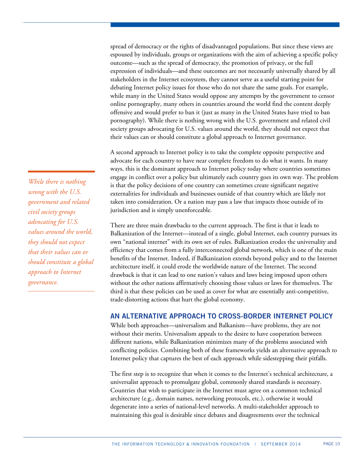spread of democracy or the rights of disadvantaged populations. But since these views are espoused by individuals, groups or organizations with the aim of achieving a specific policy outcome—such as the spread of democracy, the promotion of privacy, or the full expression of individuals—and these outcomes are not necessarily universally shared by all stakeholders in the Internet ecosystem, they cannot serve as a useful starting point for debating Internet policy issues for those who do not share the same goals. For example, while many in the United States would oppose any attempts by the government to censor online pornography, many others in countries around the world find the content deeply offensive and would prefer to ban it (just as many in the United States have tried to ban pornography). While there is nothing wrong with the U.S. government and related civil society groups advocating for U.S. values around the world, they should not expect that their values can or should constitute a global approach to Internet governance.

A second approach to Internet policy is to take the complete opposite perspective and advocate for each country to have near complete freedom to do what it wants. In many ways, this is the dominant approach to Internet policy today where countries sometimes engage in conflict over a policy but ultimately each country goes its own way. The problem is that the policy decisions of one country can sometimes create significant negative externalities for individuals and businesses outside of that country which are likely not taken into consideration. Or a nation may pass a law that impacts those outside of its jurisdiction and is simply unenforceable.

There are three main drawbacks to the current approach. The first is that it leads to Balkanization of the Internet—instead of a single, global Internet, each country pursues its own "national internet" with its own set of rules. Balkanization erodes the universality and efficiency that comes from a fully interconnected global network, which is one of the main benefits of the Internet. Indeed, if Balkanization extends beyond policy and to the Internet architecture itself, it could erode the worldwide nature of the Internet. The second drawback is that it can lead to one nation's values and laws being imposed upon others without the other nations affirmatively choosing those values or laws for themselves. The third is that these policies can be used as cover for what are essentially anti-competitive, trade-distorting actions that hurt the global economy.

## **AN ALTERNATIVE APPROACH TO CROSS-BORDER INTERNET POLICY**

While both approaches—universalism and Balkanism—have problems, they are not without their merits. Universalism appeals to the desire to have cooperation between different nations, while Balkanization minimizes many of the problems associated with conflicting policies. Combining both of these frameworks yields an alternative approach to Internet policy that captures the best of each approach while sidestepping their pitfalls.

The first step is to recognize that when it comes to the Internet's technical architecture, a universalist approach to promulgate global, commonly shared standards is necessary. Countries that wish to participate in the Internet must agree on a common technical architecture (e.g., domain names, networking protocols, etc.), otherwise it would degenerate into a series of national-level networks. A multi-stakeholder approach to maintaining this goal is desirable since debates and disagreements over the technical

*While there is nothing wrong with the U.S. government and related civil society groups advocating for U.S. values around the world, they should not expect that their values can or should constitute a global approach to Internet governance.*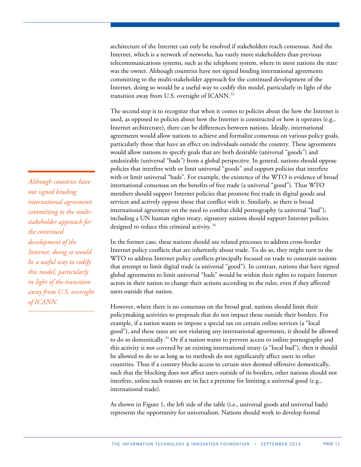architecture of the Internet can only be resolved if stakeholders reach consensus. And the Internet, which is a network of networks, has vastly more stakeholders than previous telecommunications systems, such as the telephone system, where in most nations the state was the owner. Although countries have not signed binding international agreements committing to the multi-stakeholder approach for the continued development of the Internet, doing so would be a useful way to codify this model, particularly in light of the transition away from U.S. oversight of ICANN.<sup>[33](#page-21-21)</sup>

The second step is to recognize that when it comes to policies about the how the Internet is used, as opposed to policies about how the Internet is constructed or how it operates (e.g., Internet architecture), there can be differences between nations. Ideally, international agreements would allow nations to achieve and formalize consensus on various policy goals, particularly those that have an effect on individuals outside the country. These agreements would allow nations to specify goals that are both desirable (universal "goods") and undesirable (universal "bads") from a global perspective. In general, nations should oppose policies that interfere with or limit universal "goods" and support policies that interfere with or limit universal "bads". For example, the existence of the WTO is evidence of broad international consensus on the benefits of free trade (a universal "good"). Thus WTO members should support Internet policies that promote free trade in digital goods and services and actively oppose those that conflict with it. Similarly, as there is broad international agreement on the need to combat child pornography (a universal "bad"), including a UN human rights treaty, signatory nations should support Internet policies designed to reduce this criminal activity.<sup>[34](#page-21-22)</sup>

In the former case, these nations should use related processes to address cross-border Internet policy conflicts that are inherently about trade. To do so, they might turn to the WTO to address Internet policy conflicts principally focused on trade to constrain nations that attempt to limit digital trade (a universal "good"). In contrast, nations that have signed global agreements to limit universal "bads" would be within their rights to require Internet actors in their nation to change their actions according to the rules, even if they affected users outside that nation.

However, where there is no consensus on the broad goal, nations should limit their policymaking activities to proposals that do not impact those outside their borders. For example, if a nation wants to impose a special tax on certain online services (a "local good"), and these taxes are not violating any international agreements, it should be allowed to do so domestically.<sup>[35](#page-21-23)</sup> Or if a nation wants to prevent access to online pornography and this activity is not covered by an existing international treaty (a "local bad"), then it should be allowed to do so as long as its methods do not significantly affect users in other countries. Thus if a country blocks access to certain sites deemed offensive domestically, such that the blocking does not affect users outside of its borders, other nations should not interfere, unless such reasons are in fact a pretense for limiting a universal good (e.g., international trade).

As shown in Figure 1, the left side of the table (i.e., universal goods and universal bads) represents the opportunity for universalism. Nations should work to develop formal

*Although countries have not signed binding international agreements committing to the multistakeholder approach for the continued development of the Internet, doing so would be a useful way to codify this model, particularly in light of the transition away from U.S. oversight of ICANN.*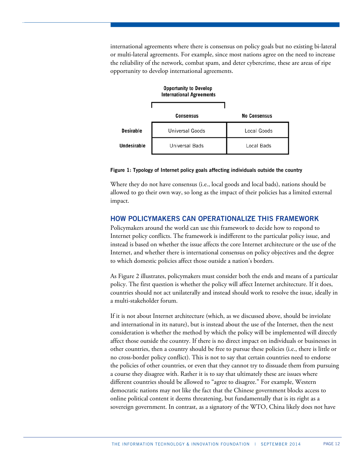international agreements where there is consensus on policy goals but no existing bi-lateral or multi-lateral agreements. For example, since most nations agree on the need to increase the reliability of the network, combat spam, and deter cybercrime, these are areas of ripe opportunity to develop international agreements.



#### **Figure 1: Typology of Internet policy goals affecting individuals outside the country**

Where they do not have consensus (i.e., local goods and local bads), nations should be allowed to go their own way, so long as the impact of their policies has a limited external impact.

#### **HOW POLICYMAKERS CAN OPERATIONALIZE THIS FRAMEWORK**

Policymakers around the world can use this framework to decide how to respond to Internet policy conflicts. The framework is indifferent to the particular policy issue, and instead is based on whether the issue affects the core Internet architecture or the use of the Internet, and whether there is international consensus on policy objectives and the degree to which domestic policies affect those outside a nation's borders.

As Figure 2 illustrates, policymakers must consider both the ends and means of a particular policy. The first question is whether the policy will affect Internet architecture. If it does, countries should not act unilaterally and instead should work to resolve the issue, ideally in a multi-stakeholder forum.

If it is not about Internet architecture (which, as we discussed above, should be inviolate and international in its nature), but is instead about the use of the Internet, then the next consideration is whether the method by which the policy will be implemented will directly affect those outside the country. If there is no direct impact on individuals or businesses in other countries, then a country should be free to pursue these policies (i.e., there is little or no cross-border policy conflict). This is not to say that certain countries need to endorse the policies of other countries, or even that they cannot try to dissuade them from pursuing a course they disagree with. Rather it is to say that ultimately these are issues where different countries should be allowed to "agree to disagree." For example, Western democratic nations may not like the fact that the Chinese government blocks access to online political content it deems threatening, but fundamentally that is its right as a sovereign government. In contrast, as a signatory of the WTO, China likely does not have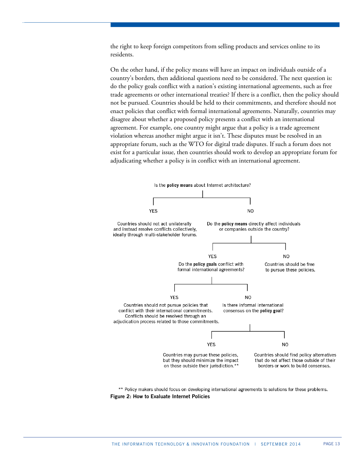the right to keep foreign competitors from selling products and services online to its residents.

On the other hand, if the policy means will have an impact on individuals outside of a country's borders, then additional questions need to be considered. The next question is: do the policy goals conflict with a nation's existing international agreements, such as free trade agreements or other international treaties? If there is a conflict, then the policy should not be pursued. Countries should be held to their commitments, and therefore should not enact policies that conflict with formal international agreements. Naturally, countries may disagree about whether a proposed policy presents a conflict with an international agreement. For example, one country might argue that a policy is a trade agreement violation whereas another might argue it isn't. These disputes must be resolved in an appropriate forum, such as the WTO for digital trade disputes. If such a forum does not exist for a particular issue, then countries should work to develop an appropriate forum for adjudicating whether a policy is in conflict with an international agreement.



\*\* Policy makers should focus on developing international agreements to solutions for these problems. **Figure 2: How to Evaluate Internet Policies**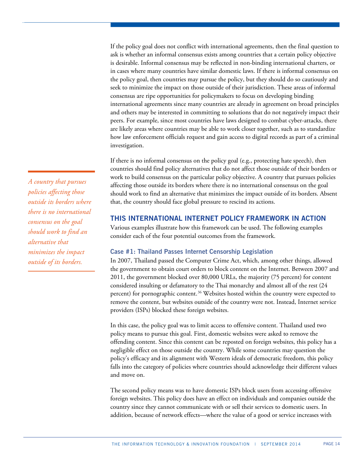If the policy goal does not conflict with international agreements, then the final question to ask is whether an informal consensus exists among countries that a certain policy objective is desirable. Informal consensus may be reflected in non-binding international charters, or in cases where many countries have similar domestic laws. If there is informal consensus on the policy goal, then countries may pursue the policy, but they should do so cautiously and seek to minimize the impact on those outside of their jurisdiction. These areas of informal consensus are ripe opportunities for policymakers to focus on developing binding international agreements since many countries are already in agreement on broad principles and others may be interested in committing to solutions that do not negatively impact their peers. For example, since most countries have laws designed to combat cyber-attacks, there are likely areas where countries may be able to work closer together, such as to standardize how law enforcement officials request and gain access to digital records as part of a criminal investigation.

If there is no informal consensus on the policy goal (e.g., protecting hate speech), then countries should find policy alternatives that do not affect those outside of their borders or work to build consensus on the particular policy objective. A country that pursues policies affecting those outside its borders where there is no international consensus on the goal should work to find an alternative that minimizes the impact outside of its borders. Absent that, the country should face global pressure to rescind its actions.

## **THIS INTERNATIONAL INTERNET POLICY FRAMEWORK IN ACTION**

Various examples illustrate how this framework can be used. The following examples consider each of the four potential outcomes from the framework.

## **Case #1: Thailand Passes Internet Censorship Legislation**

In 2007, Thailand passed the Computer Crime Act, which, among other things, allowed the government to obtain court orders to block content on the Internet. Between 2007 and 2011, the government blocked over 80,000 URLs, the majority (75 percent) for content considered insulting or defamatory to the Thai monarchy and almost all of the rest (24 percent) for pornographic content.[36](#page-21-7) Websites hosted within the country were expected to remove the content, but websites outside of the country were not. Instead, Internet service providers (ISPs) blocked these foreign websites.

In this case, the policy goal was to limit access to offensive content. Thailand used two policy means to pursue this goal. First, domestic websites were asked to remove the offending content. Since this content can be reposted on foreign websites, this policy has a negligible effect on those outside the country. While some countries may question the policy's efficacy and its alignment with Western ideals of democratic freedom, this policy falls into the category of policies where countries should acknowledge their different values and move on.

The second policy means was to have domestic ISPs block users from accessing offensive foreign websites. This policy does have an effect on individuals and companies outside the country since they cannot communicate with or sell their services to domestic users. In addition, because of network effects—where the value of a good or service increases with

*A country that pursues policies affecting those outside its borders where there is no international consensus on the goal should work to find an alternative that minimizes the impact outside of its borders.*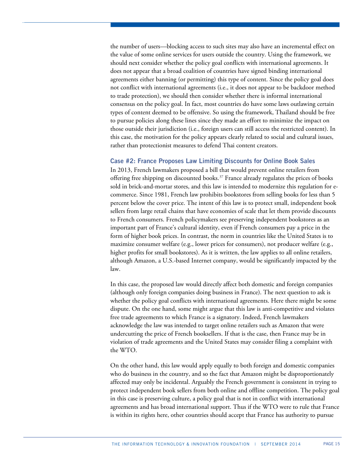the number of users—blocking access to such sites may also have an incremental effect on the value of some online services for users outside the country. Using the framework, we should next consider whether the policy goal conflicts with international agreements. It does not appear that a broad coalition of countries have signed binding international agreements either banning (or permitting) this type of content. Since the policy goal does not conflict with international agreements (i.e., it does not appear to be backdoor method to trade protection), we should then consider whether there is informal international consensus on the policy goal. In fact, most countries do have some laws outlawing certain types of content deemed to be offensive. So using the framework, Thailand should be free to pursue policies along these lines since they made an effort to minimize the impact on those outside their jurisdiction (i.e., foreign users can still access the restricted content). In this case, the motivation for the policy appears clearly related to social and cultural issues, rather than protectionist measures to defend Thai content creators.

#### **Case #2: France Proposes Law Limiting Discounts for Online Book Sales**

In 2013, French lawmakers proposed a bill that would prevent online retailers from offering free shipping on discounted books.<sup>[37](#page-21-24)</sup> France already regulates the prices of books sold in brick-and-mortar stores, and this law is intended to modernize this regulation for ecommerce. Since 1981, French law prohibits bookstores from selling books for less than 5 percent below the cover price. The intent of this law is to protect small, independent book sellers from large retail chains that have economies of scale that let them provide discounts to French consumers. French policymakers see preserving independent bookstores as an important part of France's cultural identity, even if French consumers pay a price in the form of higher book prices. In contrast, the norm in countries like the United States is to maximize consumer welfare (e.g., lower prices for consumers), not producer welfare (e.g., higher profits for small bookstores). As it is written, the law applies to all online retailers, although Amazon, a U.S.-based Internet company, would be significantly impacted by the law.

In this case, the proposed law would directly affect both domestic and foreign companies (although only foreign companies doing business in France). The next question to ask is whether the policy goal conflicts with international agreements. Here there might be some dispute. On the one hand, some might argue that this law is anti-competitive and violates free trade agreements to which France is a signatory. Indeed, French lawmakers acknowledge the law was intended to target online retailers such as Amazon that were undercutting the price of French booksellers. If that is the case, then France may be in violation of trade agreements and the United States may consider filing a complaint with the WTO.

On the other hand, this law would apply equally to both foreign and domestic companies who do business in the country, and so the fact that Amazon might be disproportionately affected may only be incidental. Arguably the French government is consistent in trying to protect independent book sellers from both online and offline competition. The policy goal in this case is preserving culture, a policy goal that is not in conflict with international agreements and has broad international support. Thus if the WTO were to rule that France is within its rights here, other countries should accept that France has authority to pursue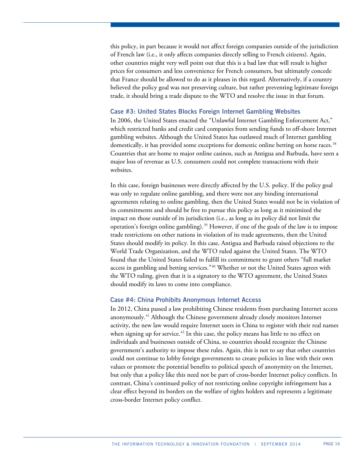this policy, in part because it would not affect foreign companies outside of the jurisdiction of French law (i.e., it only affects companies directly selling to French citizens). Again, other countries might very well point out that this is a bad law that will result is higher prices for consumers and less convenience for French consumers, but ultimately concede that France should be allowed to do as it pleases in this regard. Alternatively, if a country believed the policy goal was not preserving culture, but rather preventing legitimate foreign trade, it should bring a trade dispute to the WTO and resolve the issue in that forum.

#### **Case #3: United States Blocks Foreign Internet Gambling Websites**

In 2006, the United States enacted the "Unlawful Internet Gambling Enforcement Act," which restricted banks and credit card companies from sending funds to off-shore Internet gambling websites. Although the United States has outlawed much of Internet gambling domestically, it has provided some exceptions for domestic online betting on horse races.<sup>[38](#page-21-25)</sup> Countries that are home to major online casinos, such as Antigua and Barbuda, have seen a major loss of revenue as U.S. consumers could not complete transactions with their websites.

In this case, foreign businesses were directly affected by the U.S. policy. If the policy goal was only to regulate online gambling, and there were not any binding international agreements relating to online gambling, then the United States would not be in violation of its commitments and should be free to pursue this policy as long as it minimized the impact on those outside of its jurisdiction (i.e., as long as its policy did not limit the operation's foreign online gambling).[39](#page-21-26) However, if one of the goals of the law is to impose trade restrictions on other nations in violation of its trade agreements, then the United States should modify its policy. In this case, Antigua and Barbuda raised objections to the World Trade Organization, and the WTO ruled against the United States. The WTO found that the United States failed to fulfill its commitment to grant others "full market access in gambling and betting services."<sup>[40](#page-21-27)</sup> Whether or not the United States agrees with the WTO ruling, given that it is a signatory to the WTO agreement, the United States should modify its laws to come into compliance.

## **Case #4: China Prohibits Anonymous Internet Access**

In 2012, China passed a law prohibiting Chinese residents from purchasing Internet access anonymously.[41](#page-21-28) Although the Chinese government already closely monitors Internet activity, the new law would require Internet users in China to register with their real names when signing up for service.<sup>42</sup> In this case, the policy means has little to no effect on individuals and businesses outside of China, so countries should recognize the Chinese government's authority to impose these rules. Again, this is not to say that other countries could not continue to lobby foreign governments to create policies in line with their own values or promote the potential benefits to political speech of anonymity on the Internet, but only that a policy like this need not be part of cross-border Internet policy conflicts. In contrast, China's continued policy of not restricting online copyright infringement has a clear effect beyond its borders on the welfare of rights holders and represents a legitimate cross-border Internet policy conflict.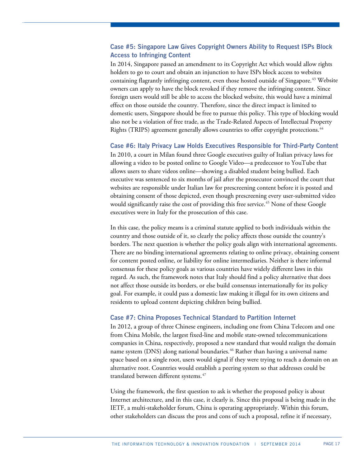## **Case #5: Singapore Law Gives Copyright Owners Ability to Request ISPs Block Access to Infringing Content**

In 2014, Singapore passed an amendment to its Copyright Act which would allow rights holders to go to court and obtain an injunction to have ISPs block access to websites containing flagrantly infringing content, even those hosted outside of Singapore.<sup>[43](#page-21-30)</sup> Website owners can apply to have the block revoked if they remove the infringing content. Since foreign users would still be able to access the blocked website, this would have a minimal effect on those outside the country. Therefore, since the direct impact is limited to domestic users, Singapore should be free to pursue this policy. This type of blocking would also not be a violation of free trade, as the Trade-Related Aspects of Intellectual Property Rights (TRIPS) agreement generally allows countries to offer copyright protections.<sup>[44](#page-21-16)</sup>

#### **Case #6: Italy Privacy Law Holds Executives Responsible for Third-Party Content**

In 2010, a court in Milan found three Google executives guilty of Italian privacy laws for allowing a video to be posted online to Google Video—a predecessor to YouTube that allows users to share videos online—showing a disabled student being bullied. Each executive was sentenced to six months of jail after the prosecutor convinced the court that websites are responsible under Italian law for prescreening content before it is posted and obtaining consent of those depicted, even though prescreening every user-submitted video would significantly raise the cost of providing this free service.<sup>[45](#page-21-31)</sup> None of these Google executives were in Italy for the prosecution of this case.

In this case, the policy means is a criminal statute applied to both individuals within the country and those outside of it, so clearly the policy affects those outside the country's borders. The next question is whether the policy goals align with international agreements. There are no binding international agreements relating to online privacy, obtaining consent for content posted online, or liability for online intermediaries. Neither is there informal consensus for these policy goals as various countries have widely different laws in this regard. As such, the framework notes that Italy should find a policy alternative that does not affect those outside its borders, or else build consensus internationally for its policy goal. For example, it could pass a domestic law making it illegal for its own citizens and residents to upload content depicting children being bullied.

## **Case #7: China Proposes Technical Standard to Partition Internet**

In 2012, a group of three Chinese engineers, including one from China Telecom and one from China Mobile, the largest fixed-line and mobile state-owned telecommunications companies in China, respectively, proposed a new standard that would realign the domain name system (DNS) along national boundaries.<sup>[46](#page-21-32)</sup> Rather than having a universal name space based on a single root, users would signal if they were trying to reach a domain on an alternative root. Countries would establish a peering system so that addresses could be translated between different systems.<sup>[47](#page-21-33)</sup>

Using the framework, the first question to ask is whether the proposed policy is about Internet architecture, and in this case, it clearly is. Since this proposal is being made in the IETF, a multi-stakeholder forum, China is operating appropriately. Within this forum, other stakeholders can discuss the pros and cons of such a proposal, refine it if necessary,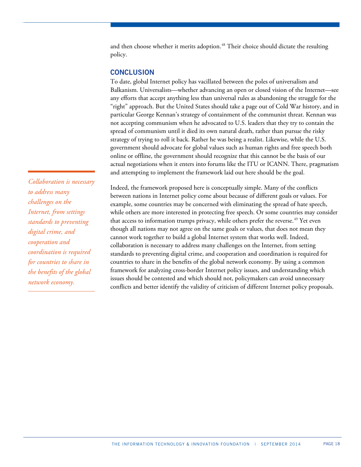and then choose whether it merits adoption.<sup>[48](#page-21-34)</sup> Their choice should dictate the resulting policy.

## **CONCLUSION**

To date, global Internet policy has vacillated between the poles of universalism and Balkanism. Universalists—whether advancing an open or closed vision of the Internet—see any efforts that accept anything less than universal rules as abandoning the struggle for the "right" approach. But the United States should take a page out of Cold War history, and in particular George Kennan's strategy of containment of the communist threat. Kennan was not accepting communism when he advocated to U.S. leaders that they try to contain the spread of communism until it died its own natural death, rather than pursue the risky strategy of trying to roll it back. Rather he was being a realist. Likewise, while the U.S. government should advocate for global values such as human rights and free speech both online or offline, the government should recognize that this cannot be the basis of our actual negotiations when it enters into forums like the ITU or ICANN. There, pragmatism and attempting to implement the framework laid out here should be the goal.

Indeed, the framework proposed here is conceptually simple. Many of the conflicts between nations in Internet policy come about because of different goals or values. For example, some countries may be concerned with eliminating the spread of hate speech, while others are more interested in protecting free speech. Or some countries may consider that access to information trumps privacy, while others prefer the reverse.<sup>[49](#page-21-35)</sup> Yet even though all nations may not agree on the same goals or values, that does not mean they cannot work together to build a global Internet system that works well. Indeed, collaboration is necessary to address many challenges on the Internet, from setting standards to preventing digital crime, and cooperation and coordination is required for countries to share in the benefits of the global network economy. By using a common framework for analyzing cross-border Internet policy issues, and understanding which issues should be contested and which should not, policymakers can avoid unnecessary conflicts and better identify the validity of criticism of different Internet policy proposals.

*Collaboration is necessary to address many challenges on the Internet, from settings standards to preventing digital crime, and cooperation and coordination is required for countries to share in the benefits of the global network economy.*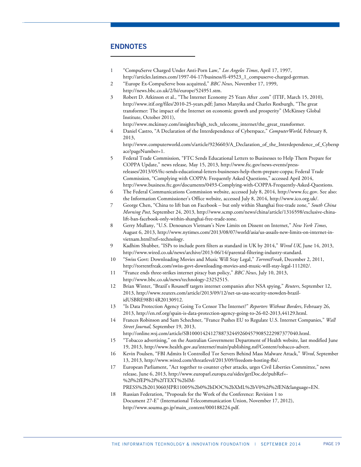## **ENDNOTES**

 $\overline{a}$ 

- <span id="page-18-0"></span>1 "CompuServe Charged Under Anti-Porn Law," *Los Angeles Times*, April 17, 1997, [http://articles.latimes.com/1997-04-17/business/fi-49523\\_1\\_compuserve-charged-german.](http://articles.latimes.com/1997-04-17/business/fi-49523_1_compuserve-charged-german)
- <span id="page-18-1"></span>2 "Europe Ex-CompuServe boss acquitted," *BBC News*, November 17, 1999, [http://news.bbc.co.uk/2/hi/europe/524951.stm.](http://news.bbc.co.uk/2/hi/europe/524951.stm)
- 3 Robert D. Atkinson et al., "The Internet Economy 25 Years After .com" (ITIF, March 15, 2010), [http://www.itif.org/files/2010-25-years.pdf;](http://www.itif.org/files/2010-25-years.pdf) James Manyika and Charles Roxburgh, "The great transformer: The impact of the Internet on economic growth and prosperity" (McKinsey Global Institute, October 2011),

http://www.mckinsey.com/insights/high\_tech\_telecoms\_internet/the\_great\_transformer.

4 Daniel Castro, "A Declaration of the Interdependence of Cyberspace," *ComputerWorld*, February 8, 2013,

[http://www.computerworld.com/s/article/9236603/A\\_Declaration\\_of\\_the\\_Interdependence\\_of\\_Cybersp](http://www.computerworld.com/s/article/9236603/A_Declaration_of_the_Interdependence_of_Cyberspace?pageNumber=1) [ace?pageNumber=1.](http://www.computerworld.com/s/article/9236603/A_Declaration_of_the_Interdependence_of_Cyberspace?pageNumber=1)

- 5 Federal Trade Commission, "FTC Sends Educational Letters to Businesses to Help Them Prepare for COPPA Update," news release*,* May 15, 2013, http://www.ftc.gov/news-events/pressreleases/2013/05/ftc-sends-educational-letters-businesses-help-them-prepare-coppa; Federal Trade Commission, "Complying with COPPA: Frequently Asked Questions," accessed April 2014, http://www.business.ftc.gov/documents/0493-Complying-with-COPPA-Frequently-Asked-Questions.
- 6 The Federal Communications Commission website, accessed July 8, 2014, http://www.fcc.gov. See also: the Information Commissioner's Office website, accessed July 8, 2014[, http://www.ico.org.uk/.](http://www.ico.org.uk/)
- 7 George Chen, "China to lift ban on Facebook but only within Shanghai free-trade zone," *South China Morning Post*, September 24, 2013, http://www.scmp.com/news/china/article/1316598/exclusive-chinalift-ban-facebook-only-within-shanghai-free-trade-zone.
- 8 Gerry Mullany, "U.S. Denounces Vietnam's New Limits on Dissent on Internet," *New York Times*, August 6, 2013, http://www.nytimes.com/2013/08/07/world/asia/us-assails-new-limits-on-internet-invietnam.html?ref=technology.
- 9 Kadhim Shubber, "ISPs to include porn filters as standard in UK by 2014," *Wired UK*, June 14, 2013, http://www.wired.co.uk/news/archive/2013-06/14/parental-filtering-industry-standard.
- 10 "Swiss Govt: Downloading Movies and Music Will Stay Legal," *TorrentFreak*, December 2, 2011, [http://torrentfreak.com/swiss-govt-downloading-movies-and-music-will-stay-legal-111202/.](http://torrentfreak.com/swiss-govt-downloading-movies-and-music-will-stay-legal-111202/)
- 11 "France ends three-strikes internet piracy ban policy," *BBC News*, July 10, 2013, [http://www.bbc.co.uk/news/technology-23252515.](http://www.bbc.co.uk/news/technology-23252515)
- 12 Brian Winter, "Brazil's Rousseff targets internet companies after NSA spying," *Reuters*, September 12, 2013, http://www.reuters.com/article/2013/09/12/net-us-usa-security-snowden-brazilidUSBRE98B14R20130912.
- 13 "Is Data Protection Agency Going To Censor The Internet?" *Reporters Without Borders*, February 26, 2013, http://en.rsf.org/spain-is-data-protection-agency-going-to-26-02-2013,44129.html.
- 14 Frances Robinson and Sam Schechner, "France Pushes EU to Regulate U.S. Internet Companies," *Wall Street Journal*, September 19, 2013,

[http://online.wsj.com/article/SB10001424127887324492604579085222987377040.html.](http://online.wsj.com/article/SB10001424127887324492604579085222987377040.html)

- 15 "Tobacco advertising," on the Australian Government Department of Health website, last modified June 19, 2013, [http://www.health.gov.au/internet/main/publishing.nsf/Content/tobacco-advert.](http://www.health.gov.au/internet/main/publishing.nsf/Content/tobacco-advert)
- 16 Kevin Poulsen, "FBI Admits It Controlled Tor Servers Behind Mass Malware Attack," *Wired*, September 13, 2013, http://www.wired.com/threatlevel/2013/09/freedom-hosting-fbi/.
- 17 European Parliament, "Act together to counter cyber attacks, urges Civil Liberties Committee," news release, June 6, 2013, http://www.europarl.europa.eu/sides/getDoc.do?pubRef=- %2f%2fEP%2f%2fTEXT%2bIM-PRESS%2b20130603IPR11005%2b0%2bDOC%2bXML%2bV0%2f%2fEN&language=EN.
- 18 Russian Federation, "Proposals for the Work of the Conference: Revision 1 to Document 27-E" (International Telecommunication Union, November 17, 2012), http://www.soumu.go.jp/main\_content/000188224.pdf.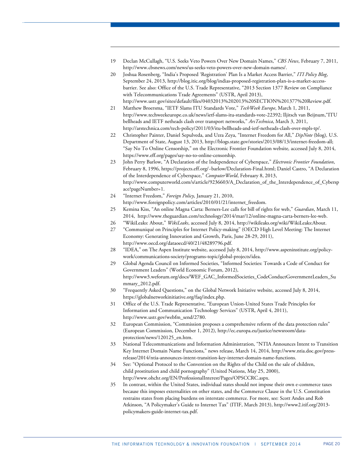19 Declan McCullagh, "U.S. Seeks Veto Powers Over New Domain Names," *CBS News*, February 7, 2011, [http://www.cbsnews.com/news/us-seeks-veto-powers-over-new-domain-names/.](http://www.cbsnews.com/news/us-seeks-veto-powers-over-new-domain-names/)

1

- 20 Joshua Rosenberg, "India's Proposed 'Registration' Plan Is a Market Access Barrier," *ITI Policy Blog*, September 24, 2013, http://blog.itic.org/blog/indias-proposed-registration-plan-is-a-market-accessbarrier. See also: Office of the U.S. Trade Representative, "2013 Section 1377 Review on Compliance with Telecommunications Trade Agreements" (USTR, April 2013), [http://www.ustr.gov/sites/default/files/04032013%202013%20SECTION%201377%20Review.pdf.](http://www.ustr.gov/sites/default/files/04032013%202013%20SECTION%201377%20Review.pdf)
- <span id="page-19-0"></span>21 Matthew Broersma, "IETF Slams ITU Standards Vote," *TechWeek Europe*, March 1, 2011,
- [http://www.techweekeurope.co.uk/news/ietf-slams-itu-standards-vote-22392;](http://www.techweekeurope.co.uk/news/ietf-slams-itu-standards-vote-22392) Iljitsch van Beijnum,"ITU bellheads and IETF netheads clash over transport networks," *ArsTechnica*, March 3, 2011, [http://arstechnica.com/tech-policy/2011/03/itu-bellheads-and-ietf-netheads-clash-over-mpls-tp/.](http://arstechnica.com/tech-policy/2011/03/itu-bellheads-and-ietf-netheads-clash-over-mpls-tp/)
- <span id="page-19-1"></span>22 Christopher Painter, Daniel Sepulveda, and Uzra Zeya, "Internet Freedom for All," *DipNote* (blog)*,* U.S. Department of State, August 13, 2013[, http://blogs.state.gov/stories/2013/08/13/internet-freedom-all;](http://blogs.state.gov/stories/2013/08/13/internet-freedom-all) "Say No To Online Censorship," on the Electronic Frontier Foundation website*,* accessed July 8, 2014, [https://www.eff.org/pages/say-no-to-online-censorship.](https://www.eff.org/pages/say-no-to-online-censorship)
- <span id="page-19-2"></span>23 John Perry Barlow, "A Declaration of the Independence of Cyberspace," *Electronic Frontier Foundation*, February 8, 1996[, https://projects.eff.org/~barlow/Declaration-Final.html;](https://projects.eff.org/~barlow/Declaration-Final.html) Daniel Castro, "A Declaration of the Interdependence of Cyberspace," *ComputerWorld*, February 8, 2013, [http://www.computerworld.com/s/article/9236603/A\\_Declaration\\_of\\_the\\_Interdependence\\_of\\_Cybersp](http://www.computerworld.com/s/article/9236603/A_Declaration_of_the_Interdependence_of_Cyberspace?pageNumber=1) [ace?pageNumber=1.](http://www.computerworld.com/s/article/9236603/A_Declaration_of_the_Interdependence_of_Cyberspace?pageNumber=1)
- 24 "Internet Freedom," *Foreign Policy*, January 21, 2010, http://www.foreignpolicy.com/articles/2010/01/21/internet\_freedom.
- 25 Kemina Kiss, "An online Magna Carta: Berners-Lee calls for bill of rights for web," *Guardian*, March 11, 2014, [http://www.theguardian.com/technology/2014/mar/12/online-magna-carta-berners-lee-web.](http://www.theguardian.com/technology/2014/mar/12/online-magna-carta-berners-lee-web)
- 26 "WikiLeaks: About," *WikiLeaks*, accessed July 8, 2014, http://wikileaks.org/wiki/WikiLeaks:About.
- 27 "Communiqué on Principles for Internet Policy-making" (OECD High Level Meeting: The Internet Economy: Generating Innovation and Growth, Paris, June 28-29, 2011), [http://www.oecd.org/dataoecd/40/21/48289796.pdf.](http://www.oecd.org/dataoecd/40/21/48289796.pdf)
- 28 "IDEA," on The Aspen Institute website, accessed July 8, 2014, [http://www.aspeninstitute.org/policy](http://www.aspeninstitute.org/policy-work/communications-society/programs-topic/global-projects/idea)[work/communications-society/programs-topic/global-projects/idea.](http://www.aspeninstitute.org/policy-work/communications-society/programs-topic/global-projects/idea)
- 29 Global Agenda Council on Informed Societies, "Informed Societies: Towards a Code of Conduct for Government Leaders" (World Economic Forum, 2012), http://www3.weforum.org/docs/WEF\_GAC\_InformedSocieties\_CodeConductGovernmentLeaders\_Su mmary\_2012.pdf.
- 30 "Frequently Asked Questions," on the Global Network Initiative website, accessed July 8, 2014, https://globalnetworkinitiative.org/faq/index.php.
- 31 Office of the U.S. Trade Representative, "European Union-United States Trade Principles for Information and Communication Technology Services" (USTR, April 4, 2011), [http://www.ustr.gov/webfm\\_send/2780.](http://www.ustr.gov/webfm_send/2780)
- 32 European Commission, "Commission proposes a comprehensive reform of the data protection rules" (European Commission, December 1, 2012), [http://ec.europa.eu/justice/newsroom/data](http://ec.europa.eu/justice/newsroom/data-protection/news/120125_en.htm)[protection/news/120125\\_en.htm.](http://ec.europa.eu/justice/newsroom/data-protection/news/120125_en.htm)
- 33 National Telecommunications and Information Administration, "NTIA Announces Intent to Transition Key Internet Domain Name Functions," news release, March 14, 2014, http://www.ntia.doc.gov/pressrelease/2014/ntia-announces-intent-transition-key-internet-domain-name-functions.
- 34 See: "Optional Protocol to the Convention on the Rights of the Child on the sale of children, child prostitution and child pornography" (United Nations, May 25, 2000), http://www.ohchr.org/EN/ProfessionalInterest/Pages/OPSCCRC.aspx.
- 35 In contrast, within the United States, individual states should not impose their own e-commerce taxes because this imposes externalities on other states, and the Commerce Clause in the U.S. Constitution restrains states from placing burdens on interstate commerce. For more, see: Scott Andes and Rob Atkinson, "A Policymaker's Guide to Internet Tax" (ITIF, March 2013), http://www2.itif.org/2013 policymakers-guide-internet-tax.pdf.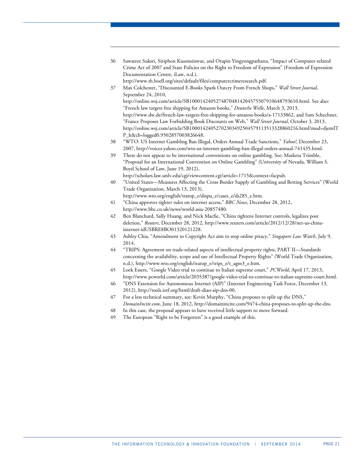- 36 Sawatree Suksri, Siriphon Kusonsinwut, and Orapin Yingyongpathana, "Impact of Computer-related Crime Act of 2007 and State Policies on the Right to Freedom of Expression" (Freedom of Expression Documentation Centre, iLaw, n.d.), http://www.th.boell.org/sites/default/files/computercrimeresearch.pdf.
- 37 Max Colchester, "Discounted E-Books Spark Outcry From French Shops," *Wall Street Journal*, September 24, 2010, [http://online.wsj.com/article/SB10001424052748704814204575507910648793610.html.](http://online.wsj.com/article/SB10001424052748704814204575507910648793610.html) See also: "French law targets free shipping for Amazon books," *Deutsche Welle*, March 3, 2013, http://www.dw.de/french-law-targets-free-shipping-for-amazon-books/a-17133862, and Sam Schechner, "France Proposes Law Forbidding Book Discounts on Web," *Wall Street Journal*, October 3, 2013, http://online.wsj.com/article/SB10001424052702303492504579113513328860216.html?mod=djemIT P\_h&cb=logged0.9502857003826648.
- 38 "WTO: US Internet Gambling Ban Illegal, Orders Annual Trade Sanctions," *Yahoo!*, December 23, 2007[, http://voices.yahoo.com/wto-us-internet-gambling-ban-illegal-orders-annual-741435.html.](http://voices.yahoo.com/wto-us-internet-gambling-ban-illegal-orders-annual-741435.html)
- 39 There do not appear to be international conventions on online gambling. See: Marketa Trimble, "Proposal for an International Convention on Online Gambling" (University of Nevada, William S. Boyd School of Law, June 19, 2012), [http://scholars.law.unlv.edu/cgi/viewcontent.cgi?article=1715&context=facpub.](http://scholars.law.unlv.edu/cgi/viewcontent.cgi?article=1715&context=facpub)
- 40 "United States—Measures Affecting the Cross-Border Supply of Gambling and Betting Services" (World Trade Organization, March 13, 2013),
- <span id="page-20-0"></span>http://www.wto.org/english/tratop\_e/dispu\_e/cases\_e/ds285\_e.htm. 41 "China approves tighter rules on internet access," *BBC News*, December 28, 2012,

1

- [http://www.bbc.co.uk/news/world-asia-20857480.](http://www.bbc.co.uk/news/world-asia-20857480)
- <span id="page-20-2"></span><span id="page-20-1"></span>42 Ben Blanchard, Sally Huang, and Nick Macfie, "China tightens Internet controls, legalizes post deletion," *Reuters*, December 28, 2012[, http://www.reuters.com/article/2012/12/28/net-us-china](http://www.reuters.com/article/2012/12/28/net-us-china-internet-idUSBRE8BO01320121228)[internet-idUSBRE8BO01320121228.](http://www.reuters.com/article/2012/12/28/net-us-china-internet-idUSBRE8BO01320121228)
- 43 Ashley Chia, "Amendment to Copyright Act aim to stop online piracy," *Singapore Law Watch*, July 9, 2014.
- <span id="page-20-3"></span>44 "TRIPS: Agreement on trade-related aspects of intellectual property rights, PART II—Standards concerning the availability, scope and use of Intellectual Property Rights" (World Trade Organization, n.d.), http://www.wto.org/english/tratop\_e/trips\_e/t\_agm3\_e.htm.
- <span id="page-20-5"></span><span id="page-20-4"></span>45 Loek Essers, "Google Video trial to continue to Italian supreme court," *PCWorld*, April 17, 2013, http://www.pcworld.com/article/2035387/google-video-trial-to-continue-to-italian-supreme-court.html.
- 46 "DNS Extension for Autonomous Internet (AIP)" (Internet Engineering Task Force, December 13, 2012)[, http://tools.ietf.org/html/draft-diao-aip-dns-00.](http://tools.ietf.org/html/draft-diao-aip-dns-00)
- 47 For a less technical summary, see: Kevin Murphy, "China proposes to split up the DNS," *DomainIncite.com*, June 18, 2012[, http://domainincite.com/9474-china-proposes-to-split-up-the-dns.](http://domainincite.com/9474-china-proposes-to-split-up-the-dns)
- 48 In this case, the proposal appears to have received little support to move forward.
- 49 The European "Right to be Forgotten" is a good example of this.